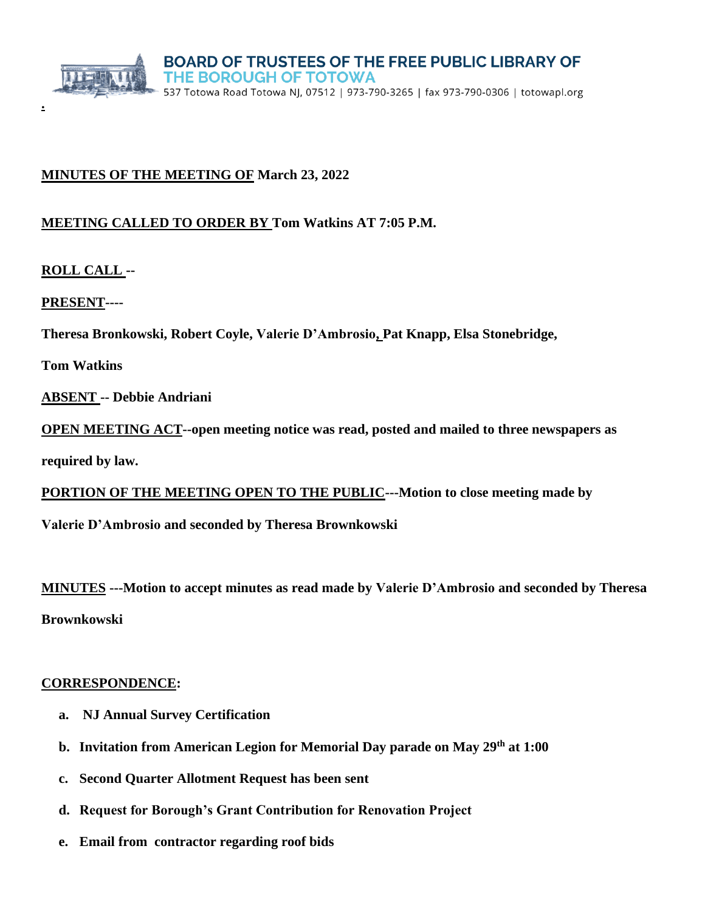

## **MINUTES OF THE MEETING OF March 23, 2022**

## **MEETING CALLED TO ORDER BY Tom Watkins AT 7:05 P.M.**

**ROLL CALL --**

**.**

**PRESENT----**

**Theresa Bronkowski, Robert Coyle, Valerie D'Ambrosio, Pat Knapp, Elsa Stonebridge,** 

**Tom Watkins** 

**ABSENT -- Debbie Andriani** 

**OPEN MEETING ACT--open meeting notice was read, posted and mailed to three newspapers as** 

**required by law.**

**PORTION OF THE MEETING OPEN TO THE PUBLIC---Motion to close meeting made by** 

**Valerie D'Ambrosio and seconded by Theresa Brownkowski**

**MINUTES ---Motion to accept minutes as read made by Valerie D'Ambrosio and seconded by Theresa Brownkowski**

#### **CORRESPONDENCE:**

- **a. NJ Annual Survey Certification**
- **b. Invitation from American Legion for Memorial Day parade on May 29th at 1:00**
- **c. Second Quarter Allotment Request has been sent**
- **d. Request for Borough's Grant Contribution for Renovation Project**
- **e. Email from contractor regarding roof bids**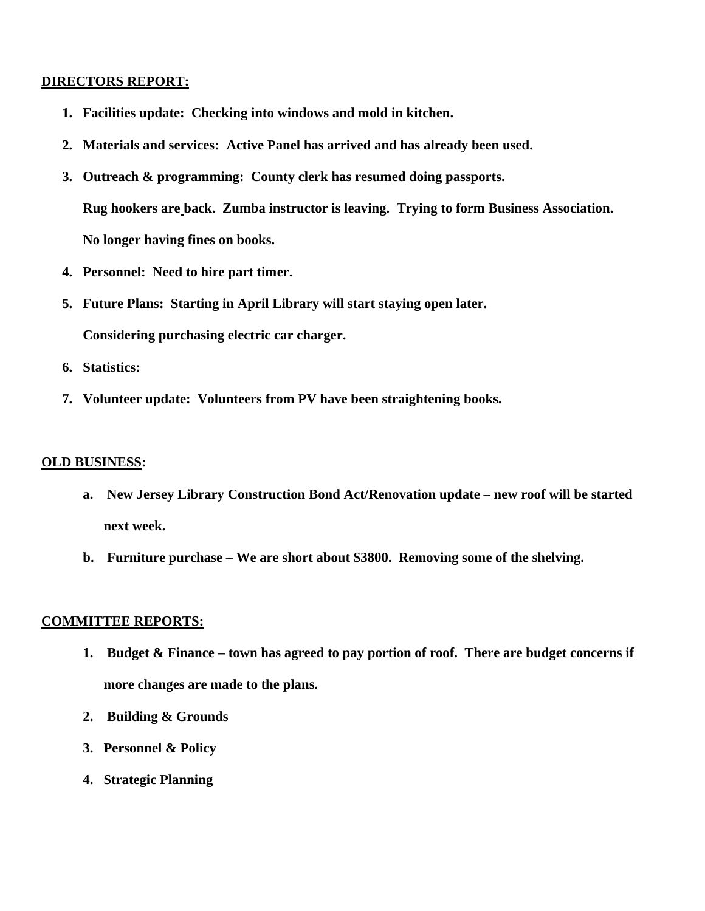#### **DIRECTORS REPORT:**

- **1. Facilities update: Checking into windows and mold in kitchen.**
- **2. Materials and services: Active Panel has arrived and has already been used.**
- **3. Outreach & programming: County clerk has resumed doing passports. Rug hookers are back. Zumba instructor is leaving. Trying to form Business Association. No longer having fines on books.**
- **4. Personnel: Need to hire part timer.**
- **5. Future Plans: Starting in April Library will start staying open later. Considering purchasing electric car charger.**
- **6. Statistics:**
- **7. Volunteer update: Volunteers from PV have been straightening books.**

#### **OLD BUSINESS:**

- **a. New Jersey Library Construction Bond Act/Renovation update – new roof will be started next week.**
- **b. Furniture purchase – We are short about \$3800. Removing some of the shelving.**

#### **COMMITTEE REPORTS:**

- **1. Budget & Finance – town has agreed to pay portion of roof. There are budget concerns if more changes are made to the plans.**
- **2. Building & Grounds**
- **3. Personnel & Policy**
- **4. Strategic Planning**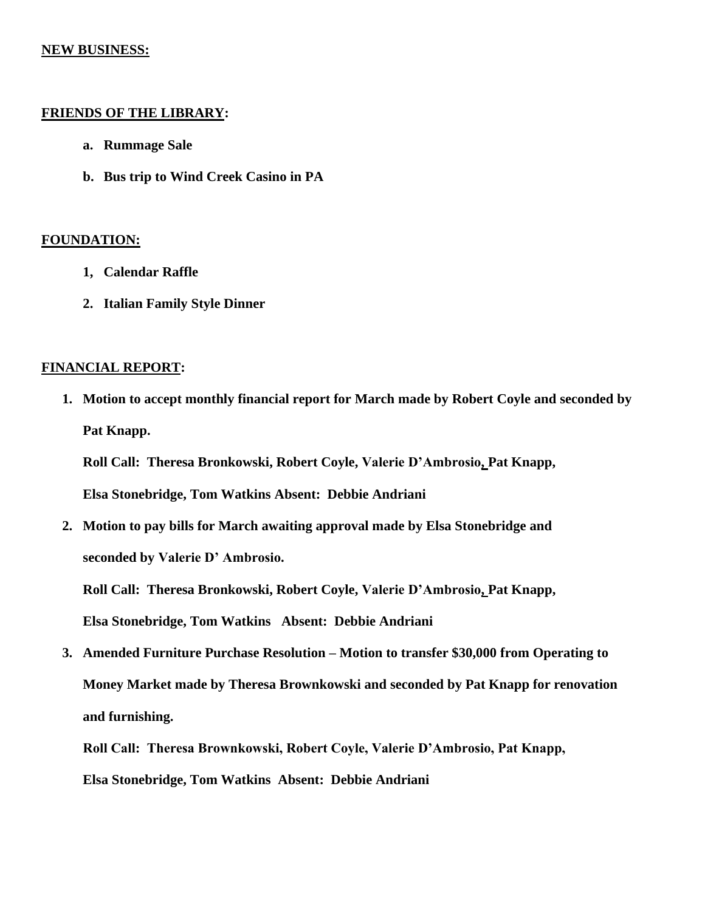#### **NEW BUSINESS:**

#### **FRIENDS OF THE LIBRARY:**

- **a. Rummage Sale**
- **b. Bus trip to Wind Creek Casino in PA**

### **FOUNDATION:**

- **1, Calendar Raffle**
- **2. Italian Family Style Dinner**

## **FINANCIAL REPORT:**

**1. Motion to accept monthly financial report for March made by Robert Coyle and seconded by Pat Knapp.**

**Roll Call: Theresa Bronkowski, Robert Coyle, Valerie D'Ambrosio, Pat Knapp, Elsa Stonebridge, Tom Watkins Absent: Debbie Andriani**

**2. Motion to pay bills for March awaiting approval made by Elsa Stonebridge and seconded by Valerie D' Ambrosio.**

**Roll Call: Theresa Bronkowski, Robert Coyle, Valerie D'Ambrosio, Pat Knapp, Elsa Stonebridge, Tom Watkins Absent: Debbie Andriani**

**3. Amended Furniture Purchase Resolution – Motion to transfer \$30,000 from Operating to Money Market made by Theresa Brownkowski and seconded by Pat Knapp for renovation and furnishing.** 

**Roll Call: Theresa Brownkowski, Robert Coyle, Valerie D'Ambrosio, Pat Knapp, Elsa Stonebridge, Tom Watkins Absent: Debbie Andriani**